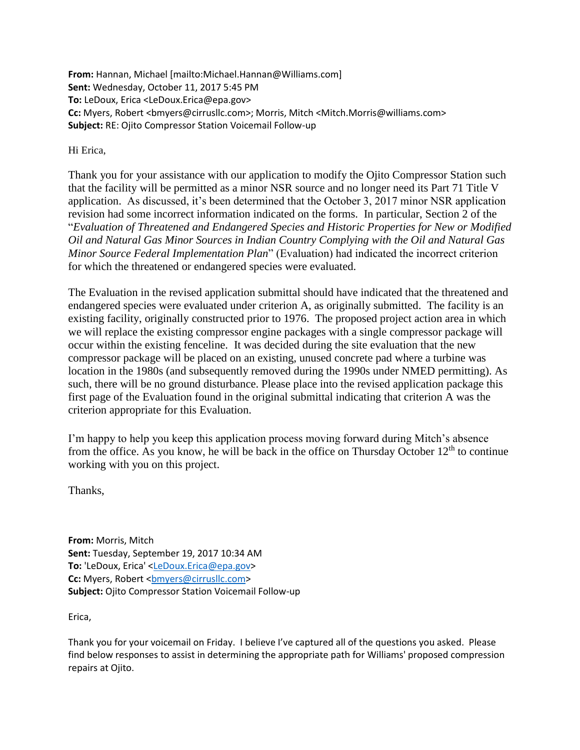**From:** Hannan, Michael [mailto:Michael.Hannan@Williams.com] **Sent:** Wednesday, October 11, 2017 5:45 PM **To:** LeDoux, Erica <LeDoux.Erica@epa.gov> **Cc:** Myers, Robert <bmyers@cirrusllc.com>; Morris, Mitch <Mitch.Morris@williams.com> **Subject:** RE: Ojito Compressor Station Voicemail Follow-up

Hi Erica,

Thank you for your assistance with our application to modify the Ojito Compressor Station such that the facility will be permitted as a minor NSR source and no longer need its Part 71 Title V application. As discussed, it's been determined that the October 3, 2017 minor NSR application revision had some incorrect information indicated on the forms. In particular, Section 2 of the "*Evaluation of Threatened and Endangered Species and Historic Properties for New or Modified Oil and Natural Gas Minor Sources in Indian Country Complying with the Oil and Natural Gas Minor Source Federal Implementation Plan*" (Evaluation) had indicated the incorrect criterion for which the threatened or endangered species were evaluated.

The Evaluation in the revised application submittal should have indicated that the threatened and endangered species were evaluated under criterion A, as originally submitted. The facility is an existing facility, originally constructed prior to 1976. The proposed project action area in which we will replace the existing compressor engine packages with a single compressor package will occur within the existing fenceline. It was decided during the site evaluation that the new compressor package will be placed on an existing, unused concrete pad where a turbine was location in the 1980s (and subsequently removed during the 1990s under NMED permitting). As such, there will be no ground disturbance. Please place into the revised application package this first page of the Evaluation found in the original submittal indicating that criterion A was the criterion appropriate for this Evaluation.

I'm happy to help you keep this application process moving forward during Mitch's absence from the office. As you know, he will be back in the office on Thursday October  $12<sup>th</sup>$  to continue working with you on this project.

Thanks,

**From:** Morris, Mitch **Sent:** Tuesday, September 19, 2017 10:34 AM **To:** 'LeDoux, Erica' [<LeDoux.Erica@epa.gov>](mailto:LeDoux.Erica@epa.gov) **Cc:** Myers, Robert <br/>bmyers@cirrusllc.com> **Subject:** Ojito Compressor Station Voicemail Follow-up

Erica,

Thank you for your voicemail on Friday. I believe I've captured all of the questions you asked. Please find below responses to assist in determining the appropriate path for Williams' proposed compression repairs at Ojito.